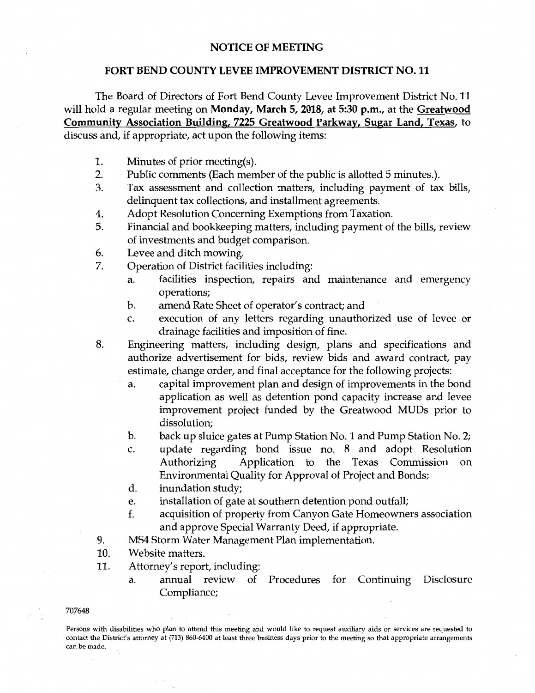## **NOTICE OF MEETING**

## **FORT BEND COUNTY LEVEE IMPROVEMENT DISTRICT NO. 11**

The Board of Directors of Fort Bend County Levee Improvement District No. 11 will hold a regular meeting on **Monday, March 5, 2018, at 5:30 p.m.,** at the **Greatwood Community Association Building, 7225 Greatwood Parkway, Sugar Land, Texas,** to discuss and, if appropriate, act upon the following items:

- **1.** Minutes of prior meeting(s).
- 2. Public comments (Each member of the public is allotted 5 minutes.).
- 3. Tax assessment and collection matters, including payment of tax bills, delinquent tax collections, and installment agreements.
- 4. Adopt Resolution Concerning Exemptions from Taxation.
- 5. Financial and bookkeeping matters, including payment of the bills, review of investments and budget comparison.
- 6. Levee and ditch mowing.
- 7. Operation of District facilities including:
	- a. facilities inspection, repairs and maintenance and emergency operations;
	- b. amend Rate Sheet of operator's contract; and
	- c. execution of any letters regarding unauthorized use of levee or drainage facilities and imposition of fine.
- 8. Engineering matters, including design, plans and specifications and authorize advertisement for bids, review bids and award contract, pay estimate, change order, and final acceptance for the following projects:
	- a. capital improvement plan and design of improvements in the bond application as well as detention pond capacity increase and levee improvement project funded by the Greatwood MUDs prior to dissolution;
	- b. back up sluice gates at Pump Station No. 1 and Pump Station No. 2;
	- c. update regarding bond issue no. 8 and adopt Resolution Authorizing Application to the Texas Commission on Environmental Quality for Approval of Project and Bonds;
	- d. inundation study;
	- e. installation of gate at southern detention pond outfall;
	- f. acquisition of property from Canyon Gate Homeowners association and approve Special Warranty Deed, if appropriate.
- 9. MS4 Storm Water Management Plan implementation.
- 10. Website matters.
- 11. Attorney's report, including:
	- a. annual review of Procedures for Continuing Disclosure Compliance;
- 707648

Persons with disabilities who plan to attend this meeting and would like to request auxiliary aids or services are requested to contact the District's attorney at (713) 860-6400 at least three business days prior to the meeting so that appropriate arrangements can be made.